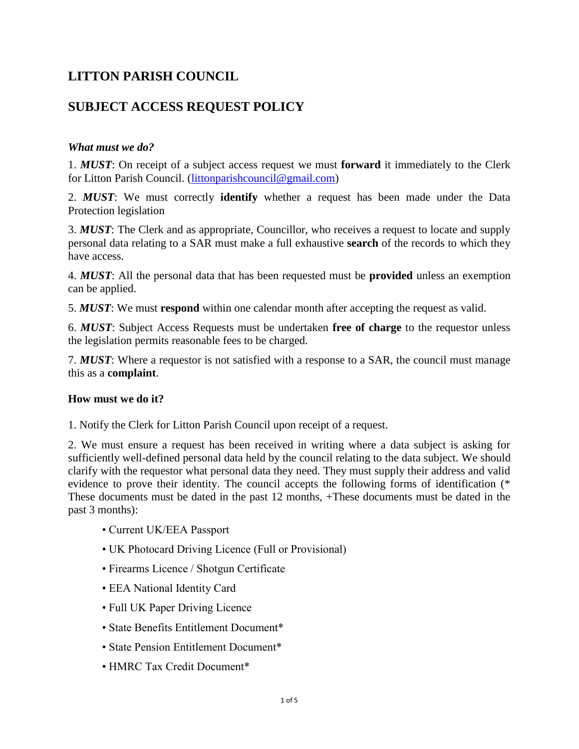# **LITTON PARISH COUNCIL**

# **SUBJECT ACCESS REQUEST POLICY**

## *What must we do?*

1. *MUST*: On receipt of a subject access request we must **forward** it immediately to the Clerk for Litton Parish Council. [\(littonparishcouncil@gmail.com\)](mailto:littonparishcouncil@gmail.com)

2. *MUST*: We must correctly **identify** whether a request has been made under the Data Protection legislation

3. *MUST*: The Clerk and as appropriate, Councillor, who receives a request to locate and supply personal data relating to a SAR must make a full exhaustive **search** of the records to which they have access.

4. *MUST*: All the personal data that has been requested must be **provided** unless an exemption can be applied.

5. *MUST*: We must **respond** within one calendar month after accepting the request as valid.

6. *MUST*: Subject Access Requests must be undertaken **free of charge** to the requestor unless the legislation permits reasonable fees to be charged.

7. *MUST*: Where a requestor is not satisfied with a response to a SAR, the council must manage this as a **complaint**.

## **How must we do it?**

1. Notify the Clerk for Litton Parish Council upon receipt of a request.

2. We must ensure a request has been received in writing where a data subject is asking for sufficiently well-defined personal data held by the council relating to the data subject. We should clarify with the requestor what personal data they need. They must supply their address and valid evidence to prove their identity. The council accepts the following forms of identification (\* These documents must be dated in the past 12 months, +These documents must be dated in the past 3 months):

- Current UK/EEA Passport
- UK Photocard Driving Licence (Full or Provisional)
- Firearms Licence / Shotgun Certificate
- EEA National Identity Card
- Full UK Paper Driving Licence
- State Benefits Entitlement Document\*
- State Pension Entitlement Document<sup>\*</sup>
- HMRC Tax Credit Document\*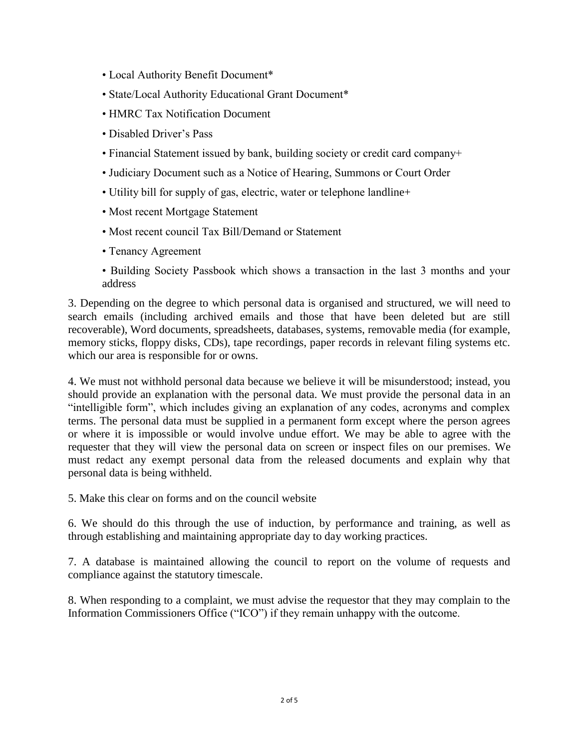- Local Authority Benefit Document\*
- State/Local Authority Educational Grant Document\*
- HMRC Tax Notification Document
- Disabled Driver's Pass
- Financial Statement issued by bank, building society or credit card company+
- Judiciary Document such as a Notice of Hearing, Summons or Court Order
- Utility bill for supply of gas, electric, water or telephone landline+
- Most recent Mortgage Statement
- Most recent council Tax Bill/Demand or Statement
- Tenancy Agreement
- Building Society Passbook which shows a transaction in the last 3 months and your address

3. Depending on the degree to which personal data is organised and structured, we will need to search emails (including archived emails and those that have been deleted but are still recoverable), Word documents, spreadsheets, databases, systems, removable media (for example, memory sticks, floppy disks, CDs), tape recordings, paper records in relevant filing systems etc. which our area is responsible for or owns.

4. We must not withhold personal data because we believe it will be misunderstood; instead, you should provide an explanation with the personal data. We must provide the personal data in an "intelligible form", which includes giving an explanation of any codes, acronyms and complex terms. The personal data must be supplied in a permanent form except where the person agrees or where it is impossible or would involve undue effort. We may be able to agree with the requester that they will view the personal data on screen or inspect files on our premises. We must redact any exempt personal data from the released documents and explain why that personal data is being withheld.

5. Make this clear on forms and on the council website

6. We should do this through the use of induction, by performance and training, as well as through establishing and maintaining appropriate day to day working practices.

7. A database is maintained allowing the council to report on the volume of requests and compliance against the statutory timescale.

8. When responding to a complaint, we must advise the requestor that they may complain to the Information Commissioners Office ("ICO") if they remain unhappy with the outcome.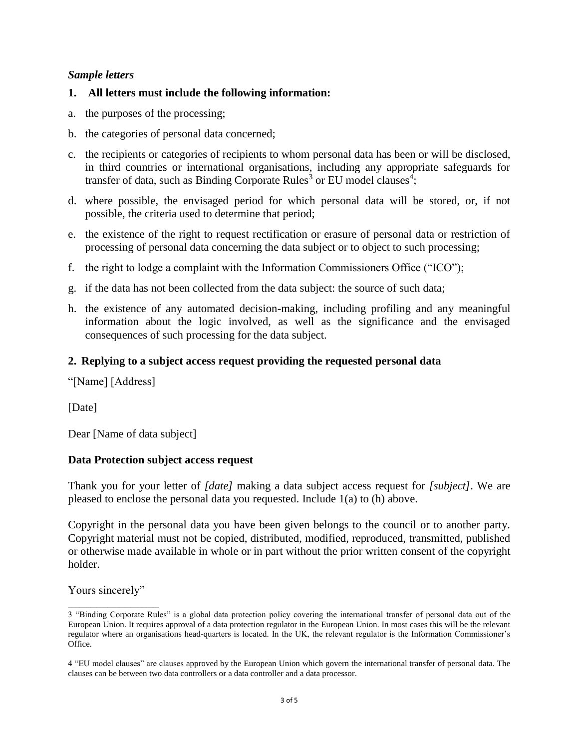#### *Sample letters*

#### **1. All letters must include the following information:**

- a. the purposes of the processing;
- b. the categories of personal data concerned;
- c. the recipients or categories of recipients to whom personal data has been or will be disclosed, in third countries or international organisations, including any appropriate safeguards for transfer of data, such as Binding Corporate Rules<sup>3</sup> or EU model clauses<sup>4</sup>;
- d. where possible, the envisaged period for which personal data will be stored, or, if not possible, the criteria used to determine that period;
- e. the existence of the right to request rectification or erasure of personal data or restriction of processing of personal data concerning the data subject or to object to such processing;
- f. the right to lodge a complaint with the Information Commissioners Office ("ICO");
- g. if the data has not been collected from the data subject: the source of such data;
- h. the existence of any automated decision-making, including profiling and any meaningful information about the logic involved, as well as the significance and the envisaged consequences of such processing for the data subject.

#### **2. Replying to a subject access request providing the requested personal data**

"[Name] [Address]

[Date]

Dear [Name of data subject]

#### **Data Protection subject access request**

Thank you for your letter of *[date]* making a data subject access request for *[subject]*. We are pleased to enclose the personal data you requested. Include 1(a) to (h) above.

Copyright in the personal data you have been given belongs to the council or to another party. Copyright material must not be copied, distributed, modified, reproduced, transmitted, published or otherwise made available in whole or in part without the prior written consent of the copyright holder.

Yours sincerely" \_\_\_\_\_\_\_\_\_\_\_\_\_\_\_\_

<sup>3 &</sup>quot;Binding Corporate Rules" is a global data protection policy covering the international transfer of personal data out of the European Union. It requires approval of a data protection regulator in the European Union. In most cases this will be the relevant regulator where an organisations head-quarters is located. In the UK, the relevant regulator is the Information Commissioner's Office.

<sup>4 &</sup>quot;EU model clauses" are clauses approved by the European Union which govern the international transfer of personal data. The clauses can be between two data controllers or a data controller and a data processor.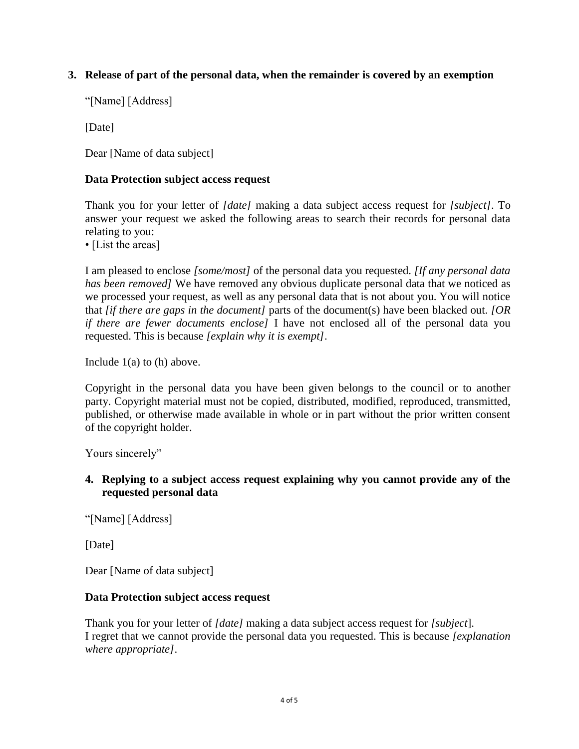## **3. Release of part of the personal data, when the remainder is covered by an exemption**

"[Name] [Address]

[Date]

Dear [Name of data subject]

## **Data Protection subject access request**

Thank you for your letter of *[date]* making a data subject access request for *[subject]*. To answer your request we asked the following areas to search their records for personal data relating to you:

• [List the areas]

I am pleased to enclose *[some/most]* of the personal data you requested. *[If any personal data has been removed]* We have removed any obvious duplicate personal data that we noticed as we processed your request, as well as any personal data that is not about you. You will notice that *[if there are gaps in the document]* parts of the document(s) have been blacked out. *[OR if there are fewer documents enclose]* I have not enclosed all of the personal data you requested. This is because *[explain why it is exempt]*.

Include 1(a) to (h) above.

Copyright in the personal data you have been given belongs to the council or to another party. Copyright material must not be copied, distributed, modified, reproduced, transmitted, published, or otherwise made available in whole or in part without the prior written consent of the copyright holder.

Yours sincerely"

## **4. Replying to a subject access request explaining why you cannot provide any of the requested personal data**

"[Name] [Address]

[Date]

Dear [Name of data subject]

## **Data Protection subject access request**

Thank you for your letter of *[date]* making a data subject access request for *[subject*]. I regret that we cannot provide the personal data you requested. This is because *[explanation where appropriate]*.